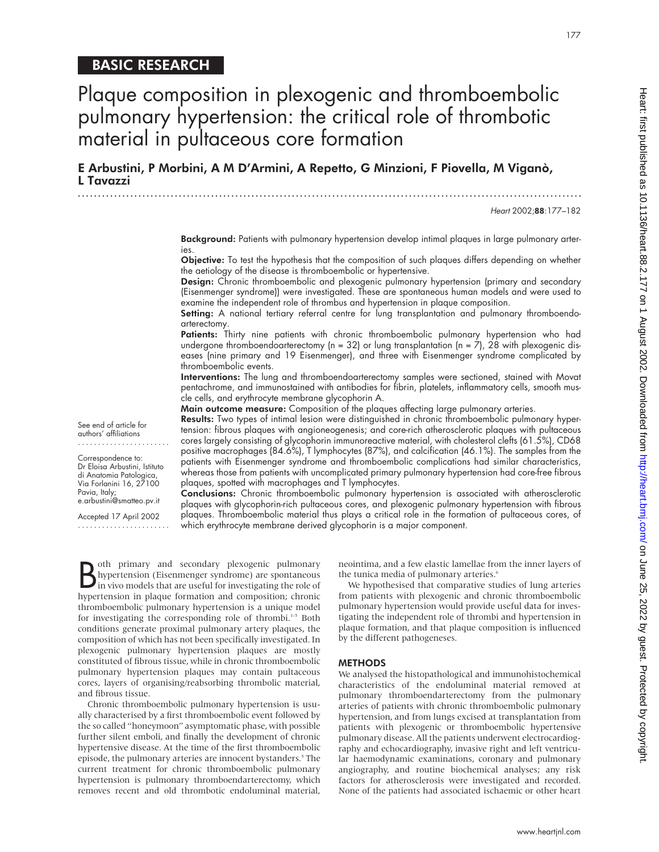## BASIC RESEARCH

# Plaque composition in plexogenic and thromboembolic pulmonary hypertension: the critical role of thrombotic material in pultaceous core formation

## E Arbustini, P Morbini, A M D'Armini, A Repetto, G Minzioni, F Piovella, M Viganò, L Tavazzi

.............................................................................................................................

Heart 2002;88:177–182

177

Background: Patients with pulmonary hypertension develop intimal plaques in large pulmonary arteries.

Objective: To test the hypothesis that the composition of such plaques differs depending on whether the aetiology of the disease is thromboembolic or hypertensive.

Design: Chronic thromboembolic and plexogenic pulmonary hypertension (primary and secondary (Eisenmenger syndrome)) were investigated. These are spontaneous human models and were used to examine the independent role of thrombus and hypertension in plaque composition.

Setting: A national tertiary referral centre for lung transplantation and pulmonary thromboendoarterectomy.

**Patients:** Thirty nine patients with chronic thromboembolic pulmonary hypertension who had undergone thromboendoarterectomy ( $n = 32$ ) or lung transplantation ( $n = 7$ ), 28 with plexogenic diseases (nine primary and 19 Eisenmenger), and three with Eisenmenger syndrome complicated by thromboembolic events.

Interventions: The lung and thromboendoarterectomy samples were sectioned, stained with Movat pentachrome, and immunostained with antibodies for fibrin, platelets, inflammatory cells, smooth muscle cells, and erythrocyte membrane glycophorin A.

Main outcome measure: Composition of the plaques affecting large pulmonary arteries.

Results: Two types of intimal lesion were distinguished in chronic thromboembolic pulmonary hypertension: fibrous plaques with angioneogenesis; and core-rich atherosclerotic plaques with pultaceous cores largely consisting of glycophorin immunoreactive material, with cholesterol clefts (61.5%), CD68 positive macrophages (84.6%), T lymphocytes (87%), and calcification (46.1%). The samples from the patients with Eisenmenger syndrome and thromboembolic complications had similar characteristics, whereas those from patients with uncomplicated primary pulmonary hypertension had core-free fibrous plaques, spotted with macrophages and T lymphocytes.

**Conclusions:** Chronic thromboembolic pulmonary hypertension is associated with atherosclerotic plaques with glycophorin-rich pultaceous cores, and plexogenic pulmonary hypertension with fibrous plaques. Thromboembolic material thus plays a critical role in the formation of pultaceous cores, of which erythrocyte membrane derived glycophorin is a major component.

**B** oth primary and secondary plexogenic pulmonary<br>hypertension (Eisenmenger syndrome) are spontaneous<br>in vivo models that are useful for investigating the role of<br>hypertension in plaque formation and composition; chronic oth primary and secondary plexogenic pulmonary hypertension (Eisenmenger syndrome) are spontaneous in vivo models that are useful for investigating the role of thromboembolic pulmonary hypertension is a unique model for investigating the corresponding role of thrombi.<sup>1-5</sup> Both conditions generate proximal pulmonary artery plaques, the composition of which has not been specifically investigated. In plexogenic pulmonary hypertension plaques are mostly constituted of fibrous tissue, while in chronic thromboembolic pulmonary hypertension plaques may contain pultaceous cores, layers of organising/reabsorbing thrombolic material, and fibrous tissue.

Chronic thromboembolic pulmonary hypertension is usually characterised by a first thromboembolic event followed by the so called "honeymoon" asymptomatic phase, with possible further silent emboli, and finally the development of chronic hypertensive disease. At the time of the first thromboembolic episode, the pulmonary arteries are innocent bystanders.<sup>5</sup> The current treatment for chronic thromboembolic pulmonary hypertension is pulmonary thromboendarterectomy, which removes recent and old thrombotic endoluminal material,

neointima, and a few elastic lamellae from the inner layers of the tunica media of pulmonary arteries.<sup>6</sup>

We hypothesised that comparative studies of lung arteries from patients with plexogenic and chronic thromboembolic pulmonary hypertension would provide useful data for investigating the independent role of thrombi and hypertension in plaque formation, and that plaque composition is influenced by the different pathogeneses.

#### METHODS

We analysed the histopathological and immunohistochemical characteristics of the endoluminal material removed at pulmonary thromboendarterectomy from the pulmonary arteries of patients with chronic thromboembolic pulmonary hypertension, and from lungs excised at transplantation from patients with plexogenic or thromboembolic hypertensive pulmonary disease. All the patients underwent electrocardiography and echocardiography, invasive right and left ventricular haemodynamic examinations, coronary and pulmonary angiography, and routine biochemical analyses; any risk factors for atherosclerosis were investigated and recorded. None of the patients had associated ischaemic or other heart

www.heartjnl.com

authors' affiliations ....................... Correspondence to: Dr Eloisa Arbustini, Istituto

See end of article for

di Anatomia Patologica, Via Forlanini 16, 27100 Pavia, Italy; e.arbustini@smatteo.pv.it

Accepted 17 April 2002 .......................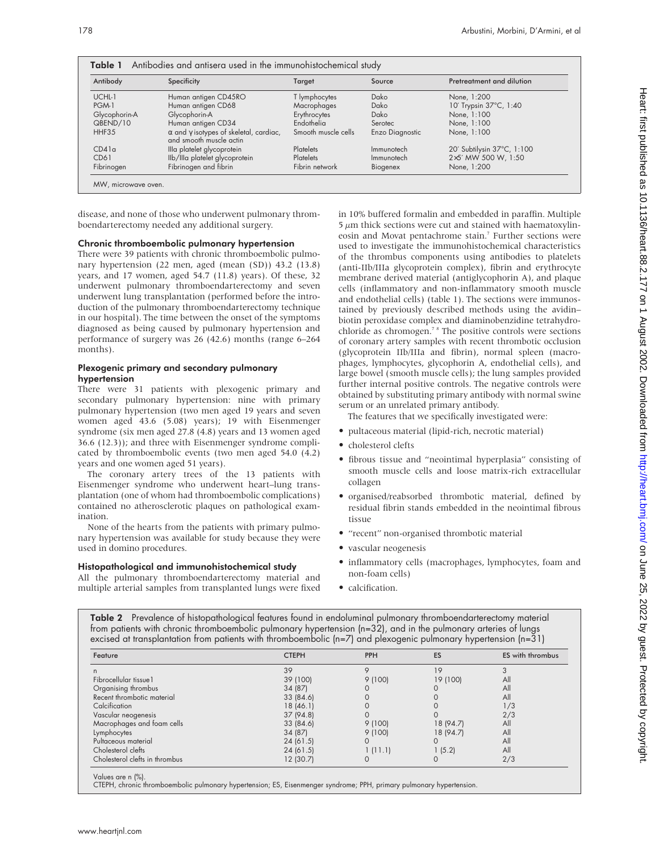| Antibody      | Specificity                                                                     | Target              | Source          | Pretreatment and dilution  |  |
|---------------|---------------------------------------------------------------------------------|---------------------|-----------------|----------------------------|--|
| UCHL-1        | Human antigen CD45RO                                                            | T lymphocytes       | Dako            | None, 1:200                |  |
| PGM-1         | Human antigen CD68                                                              | Macrophages         | Dako            | 10' Trypsin 37°C, 1:40     |  |
| Glycophorin-A | Glycophorin-A                                                                   | Erythrocytes        | Dako            | None, 1:100                |  |
| QBEND/10      | Human antigen CD34                                                              | Endothelia          | Serotec         | None, 1:100                |  |
| HHF35         | $\alpha$ and $\gamma$ isotypes of skeletal, cardiac,<br>and smooth muscle actin | Smooth muscle cells | Enzo Diagnostic | None, 1:100                |  |
| CD41a         | Illa platelet glycoprotein                                                      | <b>Platelets</b>    | Immunotech      | 20' Subtilysin 37°C, 1:100 |  |
| CD61          | Ilb/Illa platelet glycoprotein                                                  | Platelets           | Immunotech      | 2×5' MW 500 W, 1:50        |  |
| Fibrinogen    | Fibrinogen and fibrin                                                           | Fibrin network      | Biogenex        | None, 1:200                |  |

disease, and none of those who underwent pulmonary thromboendarterectomy needed any additional surgery.

#### Chronic thromboembolic pulmonary hypertension

There were 39 patients with chronic thromboembolic pulmonary hypertension (22 men, aged (mean (SD)) 43.2 (13.8) years, and 17 women, aged 54.7 (11.8) years). Of these, 32 underwent pulmonary thromboendarterectomy and seven underwent lung transplantation (performed before the introduction of the pulmonary thromboendarterectomy technique in our hospital). The time between the onset of the symptoms diagnosed as being caused by pulmonary hypertension and performance of surgery was 26 (42.6) months (range 6–264 months).

#### Plexogenic primary and secondary pulmonary hypertension

There were 31 patients with plexogenic primary and secondary pulmonary hypertension: nine with primary pulmonary hypertension (two men aged 19 years and seven women aged 43.6 (5.08) years); 19 with Eisenmenger syndrome (six men aged 27.8 (4.8) years and 13 women aged 36.6 (12.3)); and three with Eisenmenger syndrome complicated by thromboembolic events (two men aged 54.0 (4.2) years and one women aged 51 years).

The coronary artery trees of the 13 patients with Eisenmenger syndrome who underwent heart–lung transplantation (one of whom had thromboembolic complications) contained no atherosclerotic plaques on pathological examination.

None of the hearts from the patients with primary pulmonary hypertension was available for study because they were used in domino procedures.

#### Histopathological and immunohistochemical study

All the pulmonary thromboendarterectomy material and multiple arterial samples from transplanted lungs were fixed in 10% buffered formalin and embedded in paraffin. Multiple  $5 \mu m$  thick sections were cut and stained with haematoxylineosin and Movat pentachrome stain.<sup>7</sup> Further sections were used to investigate the immunohistochemical characteristics of the thrombus components using antibodies to platelets (anti-IIb/IIIa glycoprotein complex), fibrin and erythrocyte membrane derived material (antiglycophorin A), and plaque cells (inflammatory and non-inflammatory smooth muscle and endothelial cells) (table 1). The sections were immunostained by previously described methods using the avidin– biotin peroxidase complex and diaminobenzidine tetrahydrochloride as chromogen.<sup>7</sup> <sup>8</sup> The positive controls were sections of coronary artery samples with recent thrombotic occlusion (glycoprotein IIb/IIIa and fibrin), normal spleen (macrophages, lymphocytes, glycophorin A, endothelial cells), and large bowel (smooth muscle cells); the lung samples provided further internal positive controls. The negative controls were obtained by substituting primary antibody with normal swine serum or an unrelated primary antibody.

The features that we specifically investigated were:

- pultaceous material (lipid-rich, necrotic material)
- cholesterol clefts
- fibrous tissue and "neointimal hyperplasia" consisting of smooth muscle cells and loose matrix-rich extracellular collagen
- organised/reabsorbed thrombotic material, defined by residual fibrin stands embedded in the neointimal fibrous tissue
- "recent" non-organised thrombotic material
- vascular neogenesis
- inflammatory cells (macrophages, lymphocytes, foam and non-foam cells)
- calcification.

Table 2 Prevalence of histopathological features found in endoluminal pulmonary thromboendarterectomy material from patients with chronic thromboembolic pulmonary hypertension (n=32), and in the pulmonary arteries of lungs excised at transplantation from patients with thromboembolic (n=7) and plexogenic pulmonary hypertension (n=31)

| Feature                        | <b>CTEPH</b> | <b>PPH</b> | ES        | ES with thrombus |
|--------------------------------|--------------|------------|-----------|------------------|
| n                              | 39           |            | 19        |                  |
| Fibrocellular tissue 1         | 39 (100)     | 9(100)     | 19 (100)  | All              |
| Organising thrombus            | 34 (87)      |            | 0         | All              |
| Recent thrombotic material     | 33 (84.6)    |            | 0         | All              |
| Calcification                  | 18 (46.1)    |            |           | 1/3              |
| Vascular neogenesis            | 37(94.8)     |            | 0         | 2/3              |
| Macrophages and foam cells     | 33 (84.6)    | 9(100)     | 18 (94.7) | All              |
| Lymphocytes                    | 34 (87)      | 9(100)     | 18 (94.7) | All              |
| Pultaceous material            | 24(61.5)     | 0          | 0         | All              |
| Cholesterol clefts             | 24(61.5)     | 1(11.1)    | 1(5.2)    | All              |
| Cholesterol clefts in thrombus | 12 (30.7)    | O          | 0         | 2/3              |

Values are n (%). CTEPH, chronic thromboembolic pulmonary hypertension; ES, Eisenmenger syndrome; PPH, primary pulmonary hypertension.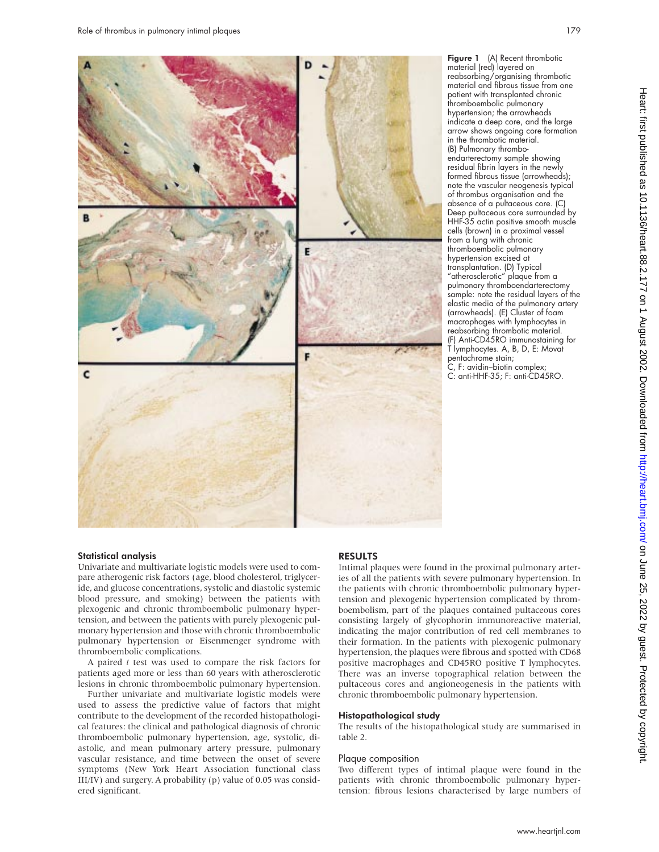

Figure 1 (A) Recent thrombotic material (red) layered on reabsorbing/organising thrombotic material and fibrous tissue from one patient with transplanted chronic thromboembolic pulmonary hypertension; the arrowheads indicate a deep core, and the large arrow shows ongoing core formation in the thrombotic material. (B) Pulmonary thromboendarterectomy sample showing residual fibrin layers in the newly formed fibrous tissue (arrowheads); note the vascular neogenesis typical of thrombus organisation and the absence of a pultaceous core. (C) Deep pultaceous core surrounded by HHF-35 actin positive smooth muscle cells (brown) in a proximal vessel from a lung with chronic thromboembolic pulmonary hypertension excised at transplantation. (D) Typical "atherosclerotic" plaque from a pulmonary thromboendarterectomy sample: note the residual layers of the elastic media of the pulmonary artery (arrowheads). (E) Cluster of foam macrophages with lymphocytes in reabsorbing thrombotic material. (F) Anti-CD45RO immunostaining for lymphocytes. A, B, D, E: Movat pentachrome stain; C, F: avidin–biotin complex;

C: anti-HHF-35; F: anti-CD45RO.

#### Statistical analysis

Univariate and multivariate logistic models were used to compare atherogenic risk factors (age, blood cholesterol, triglyceride, and glucose concentrations, systolic and diastolic systemic blood pressure, and smoking) between the patients with plexogenic and chronic thromboembolic pulmonary hypertension, and between the patients with purely plexogenic pulmonary hypertension and those with chronic thromboembolic pulmonary hypertension or Eisenmenger syndrome with thromboembolic complications.

A paired *t* test was used to compare the risk factors for patients aged more or less than 60 years with atherosclerotic lesions in chronic thromboembolic pulmonary hypertension.

Further univariate and multivariate logistic models were used to assess the predictive value of factors that might contribute to the development of the recorded histopathological features: the clinical and pathological diagnosis of chronic thromboembolic pulmonary hypertension, age, systolic, diastolic, and mean pulmonary artery pressure, pulmonary vascular resistance, and time between the onset of severe symptoms (New York Heart Association functional class III/IV) and surgery. A probability (p) value of 0.05 was considered significant.

#### RESULTS

Intimal plaques were found in the proximal pulmonary arteries of all the patients with severe pulmonary hypertension. In the patients with chronic thromboembolic pulmonary hypertension and plexogenic hypertension complicated by thromboembolism, part of the plaques contained pultaceous cores consisting largely of glycophorin immunoreactive material, indicating the major contribution of red cell membranes to their formation. In the patients with plexogenic pulmonary hypertension, the plaques were fibrous and spotted with CD68 positive macrophages and CD45RO positive T lymphocytes. There was an inverse topographical relation between the pultaceous cores and angioneogenesis in the patients with chronic thromboembolic pulmonary hypertension.

#### Histopathological study

The results of the histopathological study are summarised in table 2.

#### Plaque composition

Two different types of intimal plaque were found in the patients with chronic thromboembolic pulmonary hypertension: fibrous lesions characterised by large numbers of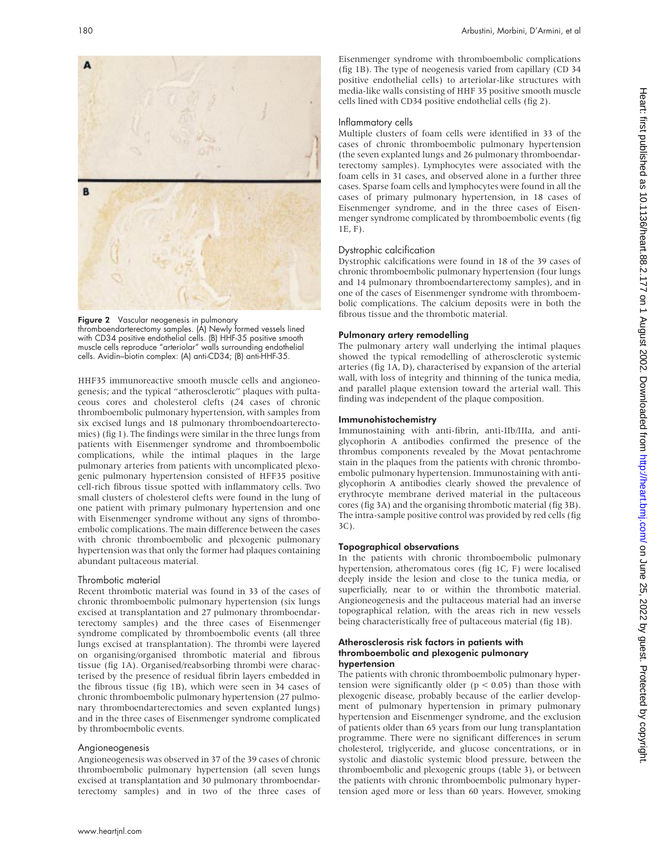

**Figure 2** Vascular neogenesis in pulmonary thromboendarterectomy samples. (A) Newly formed vessels lined with CD34 positive endothelial cells. (B) HHF-35 positive smooth muscle cells reproduce "arteriolar" walls surrounding endothelial cells. Avidin–biotin complex: (A) anti-CD34; (B) anti-HHF-35.

HHF35 immunoreactive smooth muscle cells and angioneogenesis; and the typical "atherosclerotic" plaques with pultaceous cores and cholesterol clefts (24 cases of chronic thromboembolic pulmonary hypertension, with samples from six excised lungs and 18 pulmonary thromboendoarterectomies) (fig 1). The findings were similar in the three lungs from patients with Eisenmenger syndrome and thromboembolic complications, while the intimal plaques in the large pulmonary arteries from patients with uncomplicated plexogenic pulmonary hypertension consisted of HFF35 positive cell-rich fibrous tissue spotted with inflammatory cells. Two small clusters of cholesterol clefts were found in the lung of one patient with primary pulmonary hypertension and one with Eisenmenger syndrome without any signs of thromboembolic complications. The main difference between the cases with chronic thromboembolic and plexogenic pulmonary hypertension was that only the former had plaques containing abundant pultaceous material.

#### Thrombotic material

Recent thrombotic material was found in 33 of the cases of chronic thromboembolic pulmonary hypertension (six lungs excised at transplantation and 27 pulmonary thromboendarterectomy samples) and the three cases of Eisenmenger syndrome complicated by thromboembolic events (all three lungs excised at transplantation). The thrombi were layered on organising/organised thrombotic material and fibrous tissue (fig 1A). Organised/reabsorbing thrombi were characterised by the presence of residual fibrin layers embedded in the fibrous tissue (fig 1B), which were seen in 34 cases of chronic thromboembolic pulmonary hypertension (27 pulmonary thromboendarterectomies and seven explanted lungs) and in the three cases of Eisenmenger syndrome complicated by thromboembolic events.

#### Angioneogenesis

Angioneogenesis was observed in 37 of the 39 cases of chronic thromboembolic pulmonary hypertension (all seven lungs excised at transplantation and 30 pulmonary thromboendarterectomy samples) and in two of the three cases of

#### Inflammatory cells

Multiple clusters of foam cells were identified in 33 of the cases of chronic thromboembolic pulmonary hypertension (the seven explanted lungs and 26 pulmonary thromboendarterectomy samples). Lymphocytes were associated with the foam cells in 31 cases, and observed alone in a further three cases. Sparse foam cells and lymphocytes were found in all the cases of primary pulmonary hypertension, in 18 cases of Eisenmenger syndrome, and in the three cases of Eisenmenger syndrome complicated by thromboembolic events (fig 1E, F).

#### Dystrophic calcification

Dystrophic calcifications were found in 18 of the 39 cases of chronic thromboembolic pulmonary hypertension (four lungs and 14 pulmonary thromboendarterectomy samples), and in one of the cases of Eisenmenger syndrome with thromboembolic complications. The calcium deposits were in both the fibrous tissue and the thrombotic material.

#### Pulmonary artery remodelling

The pulmonary artery wall underlying the intimal plaques showed the typical remodelling of atherosclerotic systemic arteries (fig 1A, D), characterised by expansion of the arterial wall, with loss of integrity and thinning of the tunica media, and parallel plaque extension toward the arterial wall. This finding was independent of the plaque composition.

#### Immunohistochemistry

Immunostaining with anti-fibrin, anti-IIb/IIIa, and antiglycophorin A antibodies confirmed the presence of the thrombus components revealed by the Movat pentachrome stain in the plaques from the patients with chronic thromboembolic pulmonary hypertension. Immunostaining with antiglycophorin A antibodies clearly showed the prevalence of erythrocyte membrane derived material in the pultaceous cores (fig 3A) and the organising thrombotic material (fig 3B). The intra-sample positive control was provided by red cells (fig 3C).

#### Topographical observations

In the patients with chronic thromboembolic pulmonary hypertension, atheromatous cores (fig 1C, F) were localised deeply inside the lesion and close to the tunica media, or superficially, near to or within the thrombotic material. Angioneogenesis and the pultaceous material had an inverse topographical relation, with the areas rich in new vessels being characteristically free of pultaceous material (fig 1B).

#### Atherosclerosis risk factors in patients with thromboembolic and plexogenic pulmonary hypertension

The patients with chronic thromboembolic pulmonary hypertension were significantly older ( $p < 0.05$ ) than those with plexogenic disease, probably because of the earlier development of pulmonary hypertension in primary pulmonary hypertension and Eisenmenger syndrome, and the exclusion of patients older than 65 years from our lung transplantation programme. There were no significant differences in serum cholesterol, triglyceride, and glucose concentrations, or in systolic and diastolic systemic blood pressure, between the thromboembolic and plexogenic groups (table 3), or between the patients with chronic thromboembolic pulmonary hypertension aged more or less than 60 years. However, smoking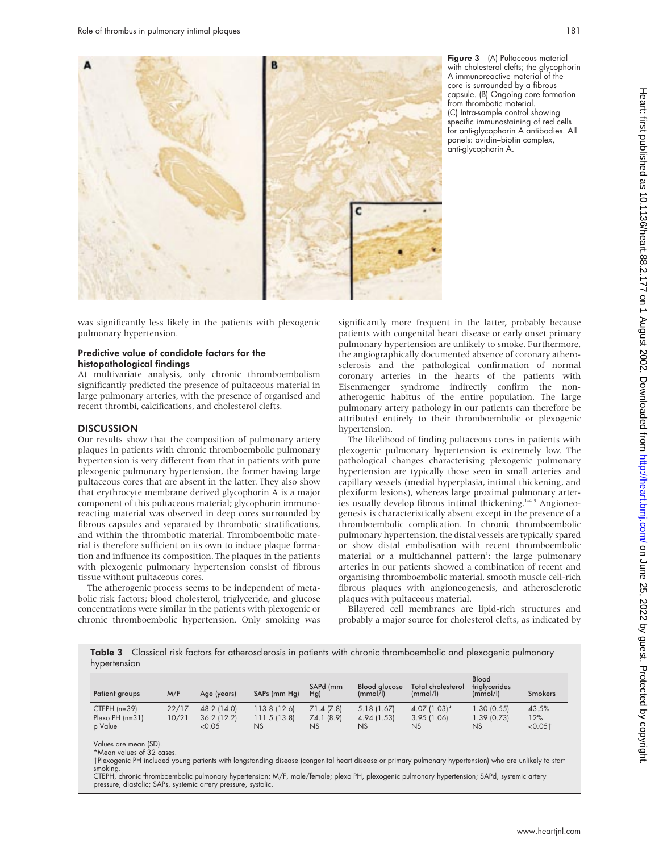

Figure 3 (A) Pultaceous material with cholesterol clefts; the glycophorin A immunoreactive material of the core is surrounded by a fibrous capsule. (B) Ongoing core formation from thrombotic material. (C) Intra-sample control showing specific immunostaining of red cells for anti-glycophorin A antibodies. All panels: avidin–biotin complex, anti-glycophorin A.

was significantly less likely in the patients with plexogenic pulmonary hypertension.

### Predictive value of candidate factors for the histopathological findings

At multivariate analysis, only chronic thromboembolism significantly predicted the presence of pultaceous material in large pulmonary arteries, with the presence of organised and recent thrombi, calcifications, and cholesterol clefts.

#### **DISCUSSION**

Our results show that the composition of pulmonary artery plaques in patients with chronic thromboembolic pulmonary hypertension is very different from that in patients with pure plexogenic pulmonary hypertension, the former having large pultaceous cores that are absent in the latter. They also show that erythrocyte membrane derived glycophorin A is a major component of this pultaceous material; glycophorin immunoreacting material was observed in deep cores surrounded by fibrous capsules and separated by thrombotic stratifications, and within the thrombotic material. Thromboembolic material is therefore sufficient on its own to induce plaque formation and influence its composition. The plaques in the patients with plexogenic pulmonary hypertension consist of fibrous tissue without pultaceous cores.

The atherogenic process seems to be independent of metabolic risk factors; blood cholesterol, triglyceride, and glucose concentrations were similar in the patients with plexogenic or chronic thromboembolic hypertension. Only smoking was significantly more frequent in the latter, probably because patients with congenital heart disease or early onset primary pulmonary hypertension are unlikely to smoke. Furthermore, the angiographically documented absence of coronary atherosclerosis and the pathological confirmation of normal coronary arteries in the hearts of the patients with Eisenmenger syndrome indirectly confirm the nonatherogenic habitus of the entire population. The large pulmonary artery pathology in our patients can therefore be attributed entirely to their thromboembolic or plexogenic hypertension.

The likelihood of finding pultaceous cores in patients with plexogenic pulmonary hypertension is extremely low. The pathological changes characterising plexogenic pulmonary hypertension are typically those seen in small arteries and capillary vessels (medial hyperplasia, intimal thickening, and plexiform lesions), whereas large proximal pulmonary arteries usually develop fibrous intimal thickening.<sup>149</sup> Angioneogenesis is characteristically absent except in the presence of a thromboembolic complication. In chronic thromboembolic pulmonary hypertension, the distal vessels are typically spared or show distal embolisation with recent thromboembolic material or a multichannel pattern<sup>1</sup>; the large pulmonary arteries in our patients showed a combination of recent and organising thromboembolic material, smooth muscle cell-rich fibrous plaques with angioneogenesis, and atherosclerotic plaques with pultaceous material.

Bilayered cell membranes are lipid-rich structures and probably a major source for cholesterol clefts, as indicated by

Table 3 Classical risk factors for atherosclerosis in patients with chronic thromboembolic and plexogenic pulmonary hypertension

| Patient groups                                 | M/F            | Age (years)                            | SAP <sub>s</sub> (mm Hg)          | SAPd (mm<br>Hq                 | <b>Blood glucose</b><br>(mmol/l) | Total cholesterol<br>(mmol/l)      | <b>Blood</b><br>triglycerides<br>(mmol/l) | <b>Smokers</b>                        |
|------------------------------------------------|----------------|----------------------------------------|-----------------------------------|--------------------------------|----------------------------------|------------------------------------|-------------------------------------------|---------------------------------------|
| $CTEPH (n=39)$<br>Plexo PH $(n=31)$<br>p Value | 22/17<br>10/21 | 48.2 (14.0)<br>$36.2$ (12.2)<br>< 0.05 | 113.8 (12.6)<br>111.5(13.8)<br>NS | 71.4 (7.8)<br>74.1 (8.9)<br>NS | 5.18(1.67)<br>4.94 (1.53)<br>NS  | $4.07(1.03)*$<br>3.95 (1.06)<br>NS | 1.30 (0.55)<br>1.39(0.73)<br>NS           | 43.5%<br>12%<br>$< 0.05$ <sup>+</sup> |

Values are mean (SD).

\*Mean values of 32 cases.

†Plexogenic PH included young patients with longstanding disease (congenital heart disease or primary pulmonary hypertension) who are unlikely to start smoking.

CTEPH, chronic thromboembolic pulmonary hypertension; M/F, male/female; plexo PH, plexogenic pulmonary hypertension; SAPd, systemic artery pressure, diastolic; SAPs, systemic artery pressure, systolic.